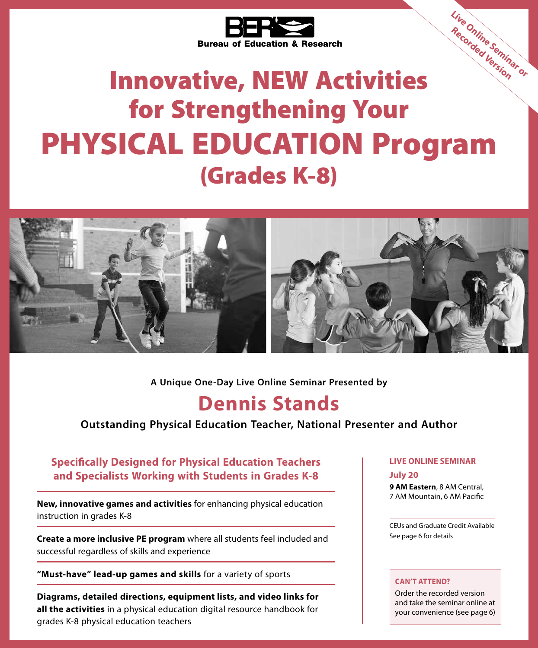

# Innovative, NEW Activities for Strengthening Your PHYSICAL EDUCATION Program (Grades K-8) **Live Online Seminar or Recorded Version**



**A Unique One-Day Live Online Seminar Presented by**

### **Dennis Stands**

**Outstanding Physical Education Teacher, National Presenter and Author**

### **Specifically Designed for Physical Education Teachers and Specialists Working with Students in Grades K-8**

**New, innovative games and activities** for enhancing physical education instruction in grades K-8

**Create a more inclusive PE program** where all students feel included and successful regardless of skills and experience

**"Must-have" lead-up games and skills** for a variety of sports

**Diagrams, detailed directions, equipment lists, and video links for all the activities** in a physical education digital resource handbook for grades K-8 physical education teachers

### **LIVE ONLINE SEMINAR**

#### **July 20**

**9 AM Eastern**, 8 AM Central, 7 AM Mountain, 6 AM Pacific

CEUs and Graduate Credit Available See page 6 for details

#### **CAN'T ATTEND?**

Order the recorded version and take the seminar online at your convenience (see page 6)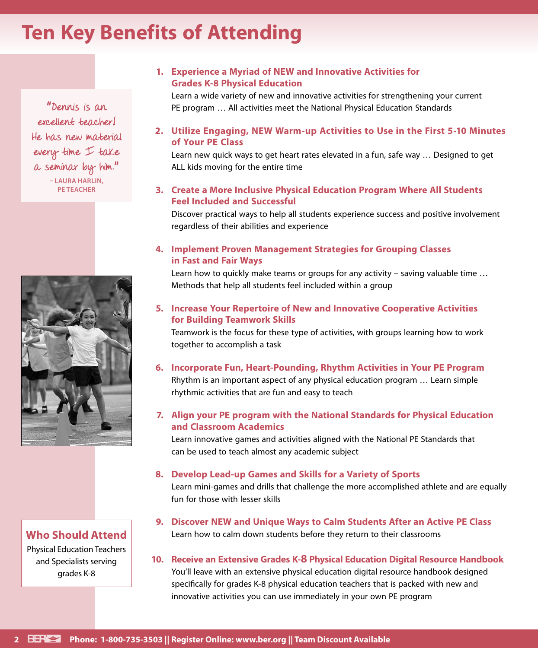### **Ten Key Benefits of Attending**

" Dennis is an excellent teacher! He has new material every time I take a seminar by him." **– LAURA HARLIN, PE TEACHER**



**Who Should Attend** Physical Education Teachers and Specialists serving grades K-8

#### **1. Experience a Myriad of NEW and Innovative Activities for Grades K-8 Physical Education**

Learn a wide variety of new and innovative activities for strengthening your current PE program … All activities meet the National Physical Education Standards

**2. Utilize Engaging, NEW Warm-up Activities to Use in the First 5-10 Minutes of Your PE Class**

Learn new quick ways to get heart rates elevated in a fun, safe way … Designed to get ALL kids moving for the entire time

**3. Create a More Inclusive Physical Education Program Where All Students Feel Included and Successful**

Discover practical ways to help all students experience success and positive involvement regardless of their abilities and experience

### **4. Implement Proven Management Strategies for Grouping Classes in Fast and Fair Ways**

Learn how to quickly make teams or groups for any activity – saving valuable time … Methods that help all students feel included within a group

### **5. Increase Your Repertoire of New and Innovative Cooperative Activities for Building Teamwork Skills**

Teamwork is the focus for these type of activities, with groups learning how to work together to accomplish a task

**6. Incorporate Fun, Heart-Pounding, Rhythm Activities in Your PE Program** Rhythm is an important aspect of any physical education program … Learn simple rhythmic activities that are fun and easy to teach

### **7. Align your PE program with the National Standards for Physical Education and Classroom Academics**

Learn innovative games and activities aligned with the National PE Standards that can be used to teach almost any academic subject

#### **8. Develop Lead-up Games and Skills for a Variety of Sports**

Learn mini-games and drills that challenge the more accomplished athlete and are equally fun for those with lesser skills

- **9. Discover NEW and Unique Ways to Calm Students After an Active PE Class** Learn how to calm down students before they return to their classrooms
- **10. Receive an Extensive Grades K-8 Physical Education Digital Resource Handbook** You'll leave with an extensive physical education digital resource handbook designed specifically for grades K-8 physical education teachers that is packed with new and innovative activities you can use immediately in your own PE program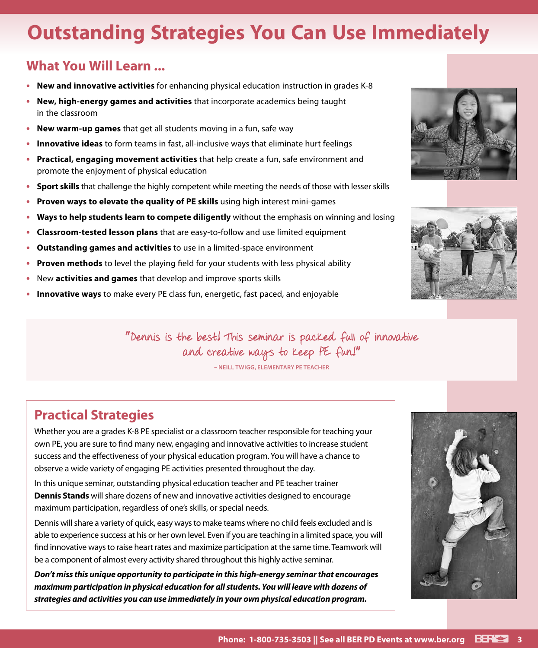## **Outstanding Strategies You Can Use Immediately**

### **What You Will Learn ...**

- **• New and innovative activities** for enhancing physical education instruction in grades K-8
- **• New, high-energy games and activities** that incorporate academics being taught in the classroom
- **• New warm-up games** that get all students moving in a fun, safe way
- **• Innovative ideas** to form teams in fast, all-inclusive ways that eliminate hurt feelings
- **• Practical, engaging movement activities** that help create a fun, safe environment and promote the enjoyment of physical education
- **• Sport skills** that challenge the highly competent while meeting the needs of those with lesser skills
- **• Proven ways to elevate the quality of PE skills** using high interest mini-games
- **• Ways to help students learn to compete diligently** without the emphasis on winning and losing
- **• Classroom-tested lesson plans** that are easy-to-follow and use limited equipment
- **• Outstanding games and activities** to use in a limited-space environment
- **• Proven methods** to level the playing field for your students with less physical ability
- **•** New **activities and games** that develop and improve sports skills
- **• Innovative ways** to make every PE class fun, energetic, fast paced, and enjoyable





" Dennis is the best! This seminar is packed full of innovative and creative ways to keep PE fun!"

**– NEILL TWIGG, ELEMENTARY PE TEACHER**

### **Practical Strategies**

Whether you are a grades K-8 PE specialist or a classroom teacher responsible for teaching your own PE, you are sure to find many new, engaging and innovative activities to increase student success and the effectiveness of your physical education program. You will have a chance to observe a wide variety of engaging PE activities presented throughout the day.

In this unique seminar, outstanding physical education teacher and PE teacher trainer **Dennis Stands** will share dozens of new and innovative activities designed to encourage maximum participation, regardless of one's skills, or special needs.

Dennis will share a variety of quick, easy ways to make teams where no child feels excluded and is able to experience success at his or her own level. Even if you are teaching in a limited space, you will find innovative ways to raise heart rates and maximize participation at the same time. Teamwork will be a component of almost every activity shared throughout this highly active seminar.

*Don't miss this unique opportunity to participate in this high-energy seminar that encourages maximum participation in physical education for all students. You will leave with dozens of strategies and activities you can use immediately in your own physical education program.*

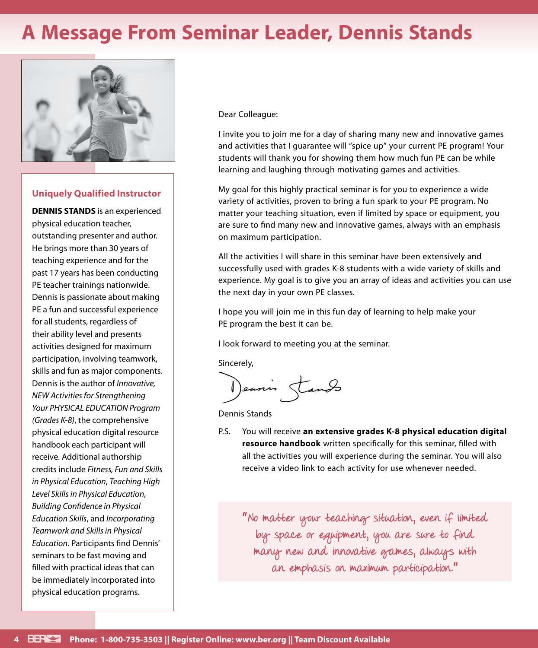### **A Message From Seminar Leader, Dennis Stands**



#### **Uniquely Qualified Instructor**

**DENNIS STANDS** is an experienced physical education teacher, outstanding presenter and author. He brings more than 30 years of teaching experience and for the past 17 years has been conducting PE teacher trainings nationwide. Dennis is passionate about making PE a fun and successful experience for all students, regardless of their ability level and presents activities designed for maximum participation, involving teamwork, skills and fun as major components. Dennis is the author of *Innovative, NEW Activities for Strengthening Your PHYSICAL EDUCATION Program (Grades K-8)*, the comprehensive physical education digital resource handbook each participant will receive. Additional authorship credits include *Fitness, Fun and Skills in Physical Education*, *Teaching High Level Skills in Physical Education*, *Building Confidence in Physical Education Skills*, and *Incorporating Teamwork and Skills in Physical Education*. Participants find Dennis' seminars to be fast moving and filled with practical ideas that can be immediately incorporated into physical education programs.

Dear Colleague:

I invite you to join me for a day of sharing many new and innovative games and activities that I guarantee will "spice up" your current PE program! Your students will thank you for showing them how much fun PE can be while learning and laughing through motivating games and activities.

My goal for this highly practical seminar is for you to experience a wide variety of activities, proven to bring a fun spark to your PE program. No matter your teaching situation, even if limited by space or equipment, you are sure to find many new and innovative games, always with an emphasis on maximum participation.

All the activities I will share in this seminar have been extensively and successfully used with grades K-8 students with a wide variety of skills and experience. My goal is to give you an array of ideas and activities you can use the next day in your own PE classes.

I hope you will join me in this fun day of learning to help make your PE program the best it can be.

I look forward to meeting you at the seminar.

Sincerely,

Dennis Stands

Dennis Stands

P.S. You will receive **an extensive grades K-8 physical education digital resource handbook** written specifically for this seminar, filled with all the activities you will experience during the seminar. You will also receive a video link to each activity for use whenever needed.

" No matter your teaching situation, even if limited by space or equipment, you are sure to find many new and innovative games, always with an emphasis on maximum participation."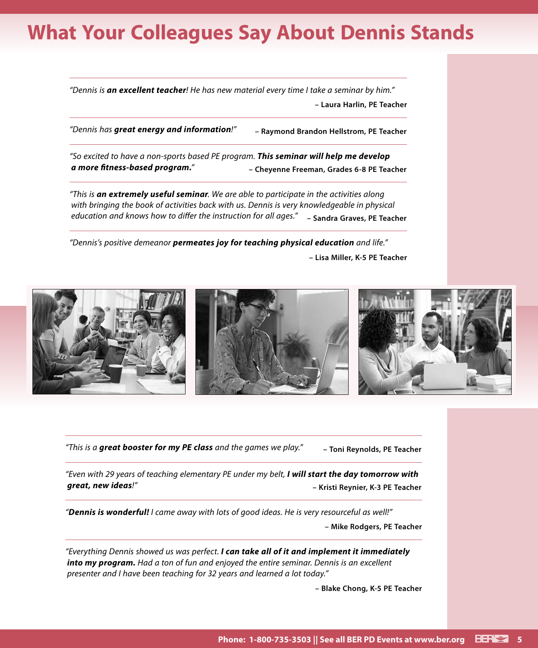### **What Your Colleagues Say About Dennis Stands**

*"Dennis is an excellent teacher! He has new material every time I take a seminar by him."* **– Laura Harlin, PE Teacher**

*"Dennis has great energy and information!"* **– Raymond Brandon Hellstrom, PE Teacher**

*"So excited to have a non-sports based PE program. This seminar will help me develop a more fitness-based program."* **– Cheyenne Freeman, Grades 6-8 PE Teacher**

*"This is an extremely useful seminar. We are able to participate in the activities along with bringing the book of activities back with us. Dennis is very knowledgeable in physical education and knows how to differ the instruction for all ages."* **– Sandra Graves, PE Teacher**

*"Dennis's positive demeanor permeates joy for teaching physical education and life."* **– Lisa Miller, K-5 PE Teacher**



*"This is a great booster for my PE class and the games we play."* **– Toni Reynolds, PE Teacher**

*"Even with 29 years of teaching elementary PE under my belt, I will start the day tomorrow with great, new ideas!"* **– Kristi Reynier, K-3 PE Teacher**

*"Dennis is wonderful! I came away with lots of good ideas. He is very resourceful as well!"*

**– Mike Rodgers, PE Teacher**

*"Everything Dennis showed us was perfect. I can take all of it and implement it immediately into my program. Had a ton of fun and enjoyed the entire seminar. Dennis is an excellent presenter and I have been teaching for 32 years and learned a lot today."*

**– Blake Chong, K-5 PE Teacher**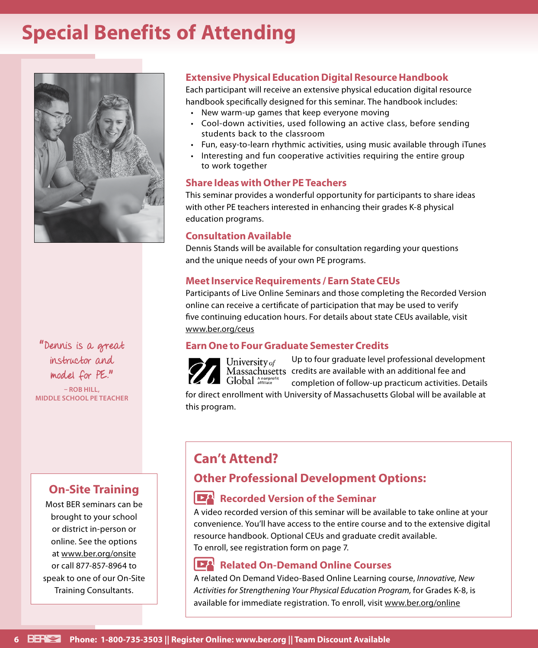### **Special Benefits of Attending**



"Dennis is a great instructor and model for PE."

**– ROB HILL, MIDDLE SCHOOL PE TEACHER**

### **On-Site Training**

Most BER seminars can be brought to your school or district in-person or online. See the options at www.ber.org/onsite or call 877-857-8964 to speak to one of our On-Site Training Consultants.

### **Extensive Physical Education Digital Resource Handbook**

Each participant will receive an extensive physical education digital resource handbook specifically designed for this seminar. The handbook includes:

- New warm-up games that keep everyone moving
- Cool-down activities, used following an active class, before sending students back to the classroom
- Fun, easy-to-learn rhythmic activities, using music available through iTunes
- Interesting and fun cooperative activities requiring the entire group to work together

#### **Share Ideas with Other PE Teachers**

This seminar provides a wonderful opportunity for participants to share ideas with other PE teachers interested in enhancing their grades K-8 physical education programs.

### **Consultation Available**

Dennis Stands will be available for consultation regarding your questions and the unique needs of your own PE programs.

### **Meet Inservice Requirements / Earn State CEUs**

Participants of Live Online Seminars and those completing the Recorded Version online can receive a certificate of participation that may be used to verify five continuing education hours. For details about state CEUs available, visit www.ber.org/ceus

### **Earn One to Four Graduate Semester Credits**



Up to four graduate level professional development University  $of$  Up to four graduate level professional developr Massachusetts credits are available with an additional fee and completion of follow-up practicum activities. Details

for direct enrollment with University of Massachusetts Global will be available at this program.

### **Can't Attend?**

### **Other Professional Development Options:**

### **Recorded Version of the Seminar**

A video recorded version of this seminar will be available to take online at your convenience. You'll have access to the entire course and to the extensive digital resource handbook. Optional CEUs and graduate credit available. To enroll, see registration form on page 7.

### **Related On-Demand Online Courses**

A related On Demand Video-Based Online Learning course, *Innovative, New Activities for Strengthening Your Physical Education Program,* for Grades K-8, is available for immediate registration. To enroll, visit www.ber.org/online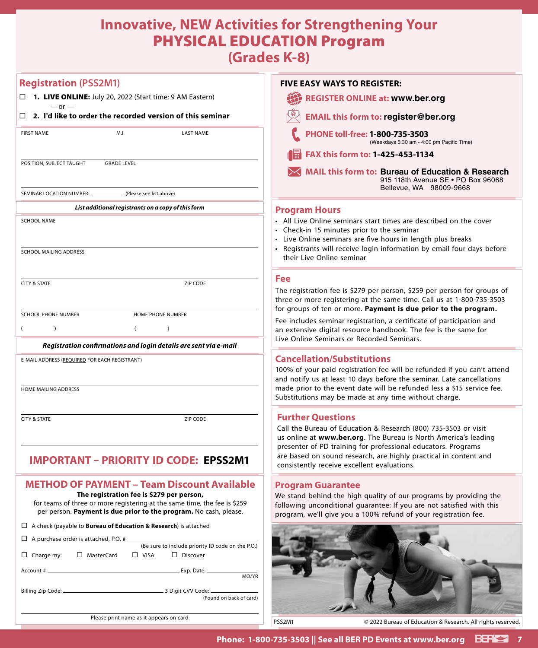### **Innovative, NEW Activities for Strengthening Your**  PHYSICAL EDUCATION Program

**(Grades K-8)**

| <b>Registration (PSS2M1)</b>                                                                                                                                                                | <b>FIVE EASY WAYS TO REGISTER:</b>                                                                                                                                                                                                                                                    |
|---------------------------------------------------------------------------------------------------------------------------------------------------------------------------------------------|---------------------------------------------------------------------------------------------------------------------------------------------------------------------------------------------------------------------------------------------------------------------------------------|
| $\Box$ <b>1. LIVE ONLINE:</b> July 20, 2022 (Start time: 9 AM Eastern)                                                                                                                      | <b>REGISTER ONLINE at: www.ber.org</b>                                                                                                                                                                                                                                                |
| $-or -$<br>2. I'd like to order the recorded version of this seminar                                                                                                                        | <b>EMAIL this form to: register@ber.org</b>                                                                                                                                                                                                                                           |
| <b>FIRST NAME</b><br>M.I.<br><b>LAST NAME</b>                                                                                                                                               | PHONE toll-free: 1-800-735-3503<br>(Weekdays 5:30 am - 4:00 pm Pacific Time)                                                                                                                                                                                                          |
|                                                                                                                                                                                             | FAX this form to: 1-425-453-1134                                                                                                                                                                                                                                                      |
| POSITION, SUBJECT TAUGHT<br><b>GRADE LEVEL</b>                                                                                                                                              | <b>MAIL this form to: Bureau of Education &amp; Research</b><br>915 118th Avenue SE . PO Box 96068                                                                                                                                                                                    |
| SEMINAR LOCATION NUMBER: _______<br>(Please see list above)                                                                                                                                 | Bellevue, WA 98009-9668                                                                                                                                                                                                                                                               |
| List additional registrants on a copy of this form                                                                                                                                          | <b>Program Hours</b>                                                                                                                                                                                                                                                                  |
| <b>SCHOOL NAME</b><br>SCHOOL MAILING ADDRESS                                                                                                                                                | • All Live Online seminars start times are described on the cover<br>• Check-in 15 minutes prior to the seminar<br>• Live Online seminars are five hours in length plus breaks<br>• Registrants will receive login information by email four days before<br>their Live Online seminar |
|                                                                                                                                                                                             | Fee                                                                                                                                                                                                                                                                                   |
| <b>CITY &amp; STATE</b><br>ZIP CODE                                                                                                                                                         | The registration fee is \$279 per person, \$259 per person for groups of<br>three or more registering at the same time. Call us at 1-800-735-3503                                                                                                                                     |
| <b>SCHOOL PHONE NUMBER</b><br>HOME PHONE NUMBER                                                                                                                                             | for groups of ten or more. Payment is due prior to the program.<br>Fee includes seminar registration, a certificate of participation and                                                                                                                                              |
| $\lambda$<br>€<br>$\lambda$<br>Registration confirmations and login details are sent via e-mail                                                                                             | an extensive digital resource handbook. The fee is the same for<br>Live Online Seminars or Recorded Seminars.                                                                                                                                                                         |
| E-MAIL ADDRESS (REQUIRED FOR EACH REGISTRANT)                                                                                                                                               | <b>Cancellation/Substitutions</b>                                                                                                                                                                                                                                                     |
|                                                                                                                                                                                             | 100% of your paid registration fee will be refunded if you can't attend<br>and notify us at least 10 days before the seminar. Late cancellations                                                                                                                                      |
| HOME MAILING ADDRESS                                                                                                                                                                        | made prior to the event date will be refunded less a \$15 service fee.<br>Substitutions may be made at any time without charge.                                                                                                                                                       |
| <b>CITY &amp; STATE</b><br>ZIP CODE                                                                                                                                                         | <b>Further Questions</b>                                                                                                                                                                                                                                                              |
|                                                                                                                                                                                             | Call the Bureau of Education & Research (800) 735-3503 or visit<br>us online at www.ber.org. The Bureau is North America's leading<br>presenter of PD training for professional educators. Programs                                                                                   |
| IMPORTANT – PRIORITY ID CODE: EPSS2M1                                                                                                                                                       | are based on sound research, are highly practical in content and<br>consistently receive excellent evaluations.                                                                                                                                                                       |
| <b>METHOD OF PAYMENT - Team Discount Available</b>                                                                                                                                          | <b>Program Guarantee</b>                                                                                                                                                                                                                                                              |
| The registration fee is \$279 per person,<br>for teams of three or more registering at the same time, the fee is \$259<br>per person. Payment is due prior to the program. No cash, please. | We stand behind the high quality of our programs by providing the<br>following unconditional guarantee: If you are not satisfied with this<br>program, we'll give you a 100% refund of your registration fee.                                                                         |
| $\Box$ A check (payable to <b>Bureau of Education &amp; Research</b> ) is attached                                                                                                          |                                                                                                                                                                                                                                                                                       |
| $\Box$ A purchase order is attached, P.O. #<br>(Be sure to include priority ID code on the P.O.)                                                                                            |                                                                                                                                                                                                                                                                                       |
| $\Box$ Charge my:<br>□ MasterCard<br>$\Box$ VISA<br>$\Box$ Discover                                                                                                                         |                                                                                                                                                                                                                                                                                       |
| MO/YR<br>(Found on back of card)                                                                                                                                                            |                                                                                                                                                                                                                                                                                       |
|                                                                                                                                                                                             |                                                                                                                                                                                                                                                                                       |